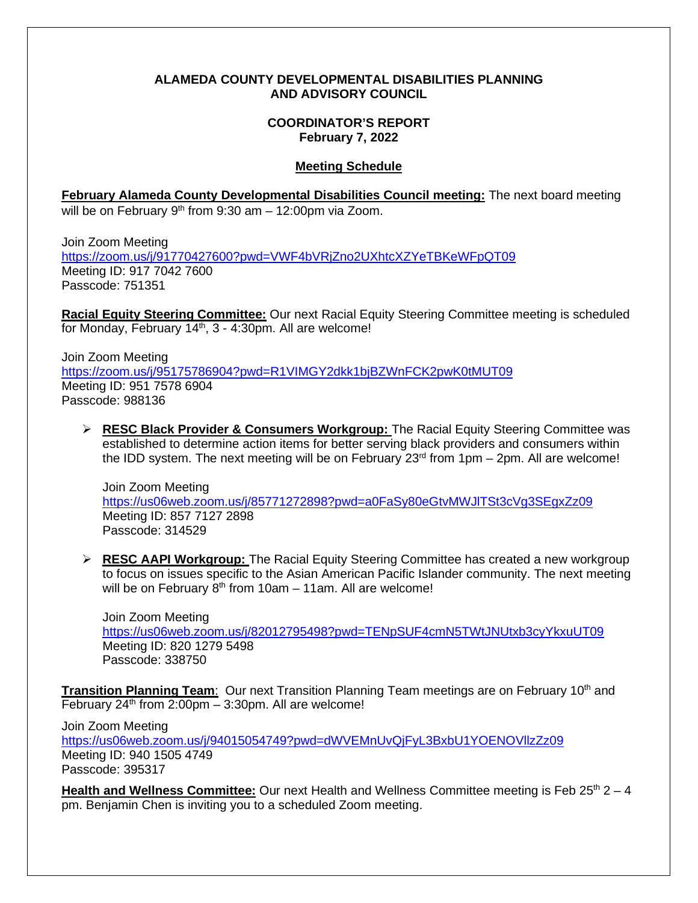#### **ALAMEDA COUNTY DEVELOPMENTAL DISABILITIES PLANNING AND ADVISORY COUNCIL**

## **COORDINATOR'S REPORT February 7, 2022**

## **Meeting Schedule**

**February Alameda County Developmental Disabilities Council meeting:** The next board meeting will be on February  $9<sup>th</sup>$  from 9:30 am  $-$  12:00pm via Zoom.

Join Zoom Meeting <https://zoom.us/j/91770427600?pwd=VWF4bVRjZno2UXhtcXZYeTBKeWFpQT09> Meeting ID: 917 7042 7600 Passcode: 751351

**Racial Equity Steering Committee:** Our next Racial Equity Steering Committee meeting is scheduled for Monday, February 14<sup>th</sup>, 3 - 4:30pm. All are welcome!

Join Zoom Meeting <https://zoom.us/j/95175786904?pwd=R1VIMGY2dkk1bjBZWnFCK2pwK0tMUT09> Meeting ID: 951 7578 6904 Passcode: 988136

 **RESC Black Provider & Consumers Workgroup:** The Racial Equity Steering Committee was established to determine action items for better serving black providers and consumers within the IDD system. The next meeting will be on February  $23<sup>rd</sup>$  from 1pm – 2pm. All are welcome!

Join Zoom Meeting <https://us06web.zoom.us/j/85771272898?pwd=a0FaSy80eGtvMWJlTSt3cVg3SEgxZz09> Meeting ID: 857 7127 2898 Passcode: 314529

 **RESC AAPI Workgroup:** The Racial Equity Steering Committee has created a new workgroup to focus on issues specific to the Asian American Pacific Islander community. The next meeting will be on February  $8<sup>th</sup>$  from 10am – 11am. All are welcome!

Join Zoom Meeting <https://us06web.zoom.us/j/82012795498?pwd=TENpSUF4cmN5TWtJNUtxb3cyYkxuUT09> Meeting ID: 820 1279 5498 Passcode: 338750

**Transition Planning Team**: Our next Transition Planning Team meetings are on February 10<sup>th</sup> and February  $24<sup>th</sup>$  from  $2:00$ pm – 3:30pm. All are welcome!

Join Zoom Meeting <https://us06web.zoom.us/j/94015054749?pwd=dWVEMnUvQjFyL3BxbU1YOENOVllzZz09> Meeting ID: 940 1505 4749 Passcode: 395317

**Health and Wellness Committee:** Our next Health and Wellness Committee meeting is Feb 25<sup>th</sup> 2 – 4 pm. Benjamin Chen is inviting you to a scheduled Zoom meeting.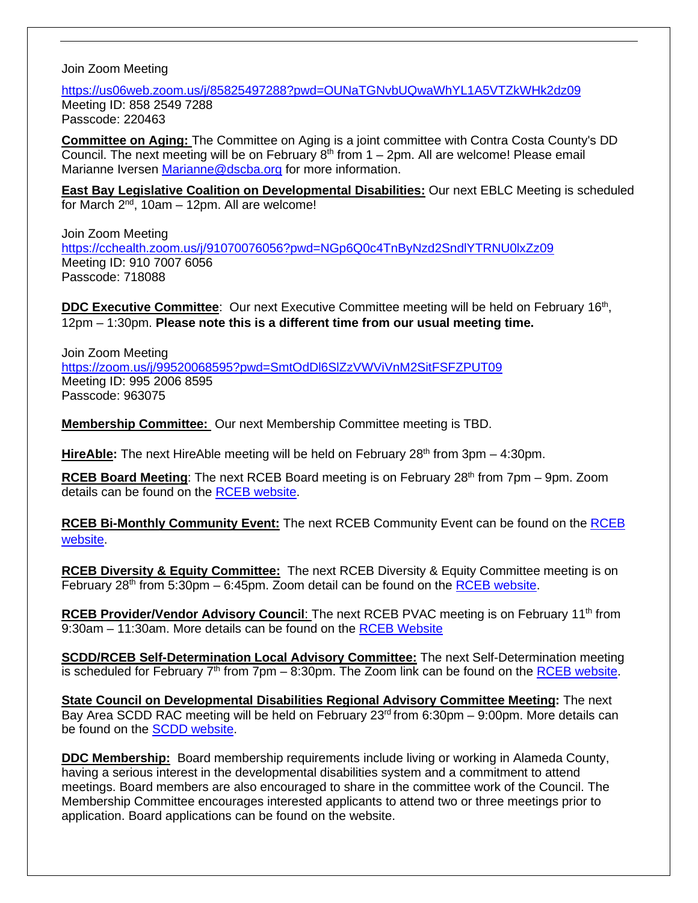Join Zoom Meeting

<https://us06web.zoom.us/j/85825497288?pwd=OUNaTGNvbUQwaWhYL1A5VTZkWHk2dz09> Meeting ID: 858 2549 7288 Passcode: 220463

**Committee on Aging:** The Committee on Aging is a joint committee with Contra Costa County's DD Council. The next meeting will be on February  $8<sup>th</sup>$  from  $1 - 2$ pm. All are welcome! Please email Marianne Iversen [Marianne@dscba.org](mailto:Marianne@dscba.org) for more information.

**East Bay Legislative Coalition on Developmental Disabilities:** Our next EBLC Meeting is scheduled for March  $2^{nd}$ , 10am – 12pm. All are welcome!

Join Zoom Meeting <https://cchealth.zoom.us/j/91070076056?pwd=NGp6Q0c4TnByNzd2SndlYTRNU0lxZz09> Meeting ID: 910 7007 6056 Passcode: 718088

**DDC Executive Committee:** Our next Executive Committee meeting will be held on February 16<sup>th</sup>, 12pm – 1:30pm. **Please note this is a different time from our usual meeting time.** 

Join Zoom Meeting <https://zoom.us/j/99520068595?pwd=SmtOdDl6SlZzVWViVnM2SitFSFZPUT09> Meeting ID: 995 2006 8595 Passcode: 963075

**Membership Committee:** Our next Membership Committee meeting is TBD.

**HireAble:** The next HireAble meeting will be held on February 28<sup>th</sup> from 3pm – 4:30pm.

**RCEB Board Meeting**: The next RCEB Board meeting is on February 28<sup>th</sup> from 7pm – 9pm. Zoom details can be found on the [RCEB website.](https://www.rceb.org/events/)

**RCEB Bi-Monthly Community Event:** The next RCEB Community Event can be found on the [RCEB](https://www.rceb.org/events/)  [website.](https://www.rceb.org/events/)

**RCEB Diversity & Equity Committee:** The next RCEB Diversity & Equity Committee meeting is on February  $28<sup>th</sup>$  from 5:30pm – 6:45pm. Zoom detail can be found on the [RCEB website.](https://www.rceb.org/events/)

RCEB Provider/Vendor Advisory Council: The next RCEB PVAC meeting is on February 11<sup>th</sup> from 9:30am – 11:30am. More details can be found on the [RCEB Website](https://www.rceb.org/about-us/board-directors/board-committees/providervendor-advisory-committee/)

**SCDD/RCEB Self-Determination Local Advisory Committee:** The next Self-Determination meeting is scheduled for February  $7<sup>th</sup>$  from  $7<sub>pm</sub> - 8:30<sub>pm</sub>$ . The Zoom link can be found on the [RCEB website.](https://www.rceb.org/events/)

**State Council on Developmental Disabilities Regional Advisory Committee Meeting:** The next Bay Area SCDD RAC meeting will be held on February 23<sup>rd</sup> from 6:30pm - 9:00pm. More details can be found on the [SCDD website.](https://scdd.ca.gov/councilcalendar/)

**DDC Membership:** Board membership requirements include living or working in Alameda County, having a serious interest in the developmental disabilities system and a commitment to attend meetings. Board members are also encouraged to share in the committee work of the Council. The Membership Committee encourages interested applicants to attend two or three meetings prior to application. Board applications can be found on the website.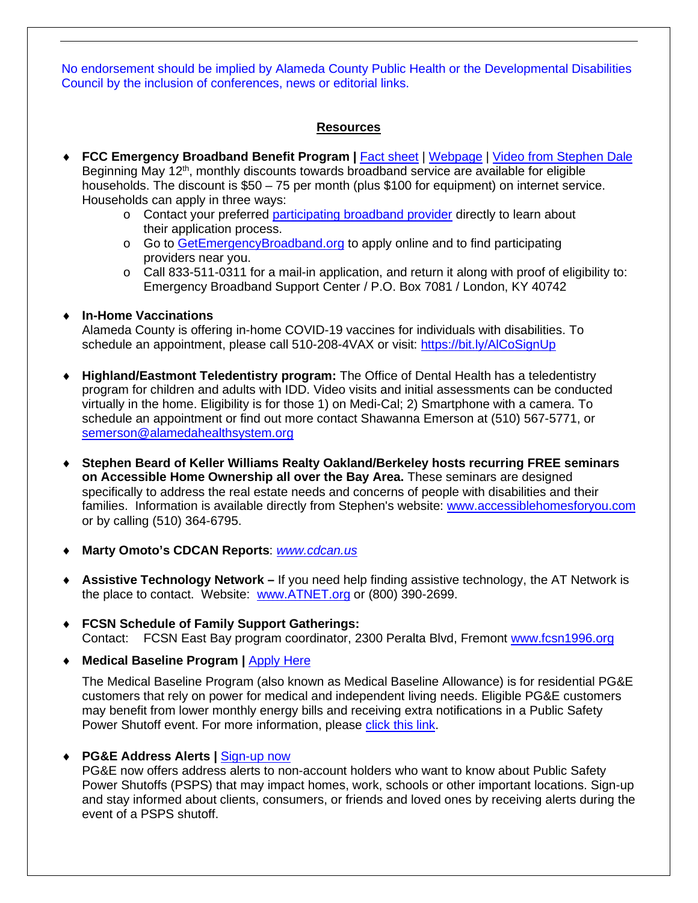No endorsement should be implied by Alameda County Public Health or the Developmental Disabilities Council by the inclusion of conferences, news or editorial links.

## **Resources**

- ◆ **FCC Emergency Broadband Benefit Program** | [Fact sheet](https://docs.fcc.gov/public/attachments/DOC-370355A1.pdf) | [Webpage](https://www.getemergencybroadband.org/) | [Video from Stephen Dale](https://www.youtube.com/watch?v=3xy1EI1YXkk) Beginning May  $12<sup>th</sup>$ , monthly discounts towards broadband service are available for eligible households. The discount is \$50 – 75 per month (plus \$100 for equipment) on internet service. Households can apply in three ways:
	- o Contact your preferred [participating broadband provider](https://www.fcc.gov/emergency-broadband-benefit-providers) directly to learn about their application process.
	- o Go to [GetEmergencyBroadband.org](https://www.getemergencybroadband.org/) to apply online and to find participating providers near you.
	- $\circ$  Call 833-511-0311 for a mail-in application, and return it along with proof of eligibility to: Emergency Broadband Support Center / P.O. Box 7081 / London, KY 40742
- ♦ **In-Home Vaccinations**

Alameda County is offering in-home COVID-19 vaccines for individuals with disabilities. To schedule an appointment, please call 510-208-4VAX or visit:<https://bit.ly/AlCoSignUp>

- ♦ **Highland/Eastmont Teledentistry program:** The Office of Dental Health has a teledentistry program for children and adults with IDD. Video visits and initial assessments can be conducted virtually in the home. Eligibility is for those 1) on Medi-Cal; 2) Smartphone with a camera. To schedule an appointment or find out more contact Shawanna Emerson at (510) 567-5771, or [semerson@alamedahealthsystem.org](mailto:semerson@alamedahealthsystem.org)
- ♦ **Stephen Beard of Keller Williams Realty Oakland/Berkeley hosts recurring FREE seminars on Accessible Home Ownership all over the Bay Area.** These seminars are designed specifically to address the real estate needs and concerns of people with disabilities and their families. Information is available directly from Stephen's website: [www.accessiblehomesforyou.com](http://www.accessiblehomesforyou.com/)  or by calling (510) 364-6795.
- ♦ **Marty Omoto's CDCAN Reports**: *[www.cdcan.us](http://www.cdcan.us/)*
- ♦ **Assistive Technology Network** If you need help finding assistive technology, the AT Network is the place to contact. Website: [www.ATNET.org](http://www.atnet.org/) or (800) 390-2699.
- ♦ **FCSN Schedule of Family Support Gatherings:**  Contact: FCSN East Bay program coordinator, 2300 Peralta Blvd, Fremont [www.fcsn1996.org](file://www.fcsn1996.org)
- ♦ **Medical Baseline Program |** [Apply Here](https://www.pge.com/en_US/residential/save-energy-money/help-paying-your-bill/longer-term-assistance/medical-condition-related/medical-baseline-allowance/medical-baseline-covid19.page)

The Medical Baseline Program (also known as Medical Baseline Allowance) is for residential PG&E customers that rely on power for medical and independent living needs. Eligible PG&E customers may benefit from lower monthly energy bills and receiving extra notifications in a Public Safety Power Shutoff event. For more information, please [click this link.](https://www.pge.com/en_US/residential/save-energy-money/help-paying-your-bill/longer-term-assistance/medical-condition-related/medical-baseline-allowance/medical-baseline-allowance.page?cid=ps_MedicalBaseline_MB_20210301_ApplyNow_Google_All_na&gclid=Cj0KCQjw2tCGBhCLARIsABJGmZ5fWx7vf5jeU619p0KBbYdcX7QdKh0sVFOiFh5zkNosVa--orUKURgaAp2vEALw_wcB)

## ♦ **PG&E Address Alerts |** [Sign-up now](https://pgealerts.alerts.pge.com/outages/psps-address-alert/)

PG&E now offers address alerts to non-account holders who want to know about Public Safety Power Shutoffs (PSPS) that may impact homes, work, schools or other important locations. Sign-up and stay informed about clients, consumers, or friends and loved ones by receiving alerts during the event of a PSPS shutoff.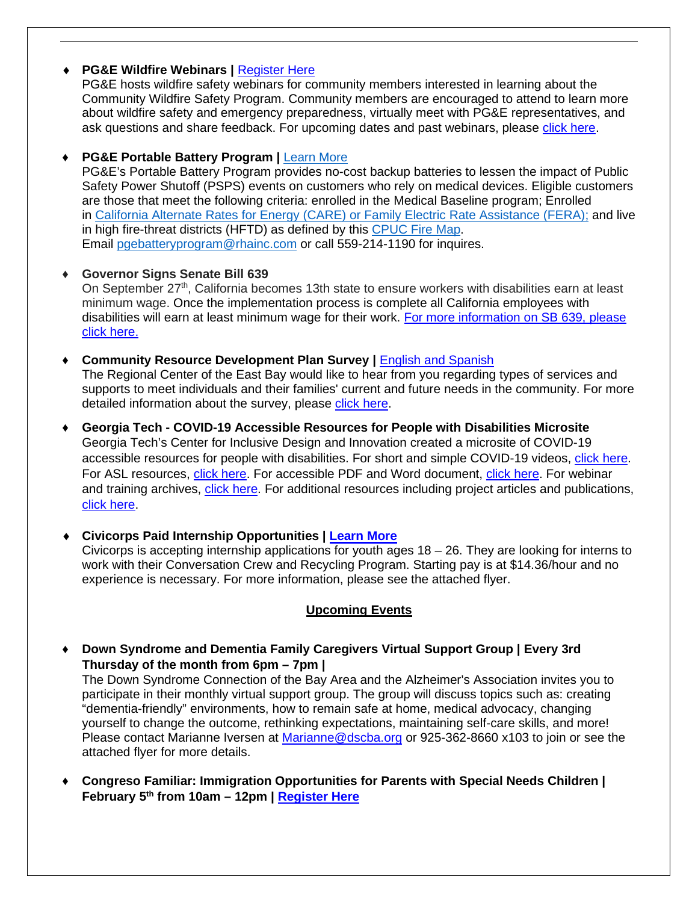## ♦ **PG&E Wildfire Webinars |** [Register Here](https://www.pge.com/en_US/safety/emergency-preparedness/natural-disaster/wildfires/community-wildfire-safety-open-house-meetings.page?WT.mc_id=Vanity_firesafetywebinars)

PG&E hosts wildfire safety webinars for community members interested in learning about the Community Wildfire Safety Program. Community members are encouraged to attend to learn more about wildfire safety and emergency preparedness, virtually meet with PG&E representatives, and ask questions and share feedback. For upcoming dates and past webinars, please [click here.](https://www.pge.com/en_US/safety/emergency-preparedness/natural-disaster/wildfires/community-wildfire-safety-open-house-meetings.page?WT.mc_id=Vanity_firesafetywebinars)

## ♦ **PG&E Portable Battery Program |** [Learn More](https://pgebatteryprogram.com/)

PG&E's Portable Battery Program provides no-cost backup batteries to lessen the impact of Public Safety Power Shutoff (PSPS) events on customers who rely on medical devices. Eligible customers are those that meet the following criteria: enrolled in the Medical Baseline program; Enrolled in [California Alternate Rates for Energy \(CARE\) or Family Electric Rate Assistance \(FERA\);](https://www.pge.com/en_US/residential/save-energy-money/help-paying-your-bill/longer-term-assistance/care/care.page) and live in high fire-threat districts (HFTD) as defined by this [CPUC Fire Map.](https://ia.cpuc.ca.gov/firemap/) Email [pgebatteryprogram@rhainc.com](mailto:pgebatteryprogram@rhainc.com) or call 559-214-1190 for inquires.

## ♦ **Governor Signs Senate Bill 639**

On September 27<sup>th</sup>, California becomes 13th state to ensure workers with disabilities earn at least minimum wage. Once the implementation process is complete all California employees with disabilities will earn at least minimum wage for their work. [For more information on SB 639, please](https://scdd.ca.gov/sb639/)  [click here.](https://scdd.ca.gov/sb639/)

# ♦ **Community Resource Development Plan Survey |** [English and Spanish](https://docs.google.com/forms/d/e/1FAIpQLSdD4lxWge6KKIJk0nMpWfjKcda9pmU-Hm88FfPU42aNC6F6SA/viewform)

The Regional Center of the East Bay would like to hear from you regarding types of services and supports to meet individuals and their families' current and future needs in the community. For more detailed information about the survey, please [click here.](https://www.rceb.org/news/crdp-survey-encuesta-del-pdrc/)

♦ **Georgia Tech - COVID-19 Accessible Resources for People with Disabilities Microsite**  Georgia Tech's Center for Inclusive Design and Innovation created a microsite of COVID-19 accessible resources for people with disabilities. For short and simple COVID-19 videos, [click here.](https://cidi.gatech.edu/covid/videos) For ASL resources, [click here.](https://cidi.gatech.edu/covid/asl) For accessible PDF and Word document, [click here.](https://cidi.gatech.edu/covid/accessible) For webinar and training archives, [click here.](https://cidi.gatech.edu/covid/training) For additional resources including project articles and publications, [click here.](https://cidi.gatech.edu/covid/related-resources)

# ♦ **Civicorps Paid Internship Opportunities | [Learn More](https://www.cvcorps.org/)**

Civicorps is accepting internship applications for youth ages  $18 - 26$ . They are looking for interns to work with their Conversation Crew and Recycling Program. Starting pay is at \$14.36/hour and no experience is necessary. For more information, please see the attached flyer.

# **Upcoming Events**

♦ **Down Syndrome and Dementia Family Caregivers Virtual Support Group | Every 3rd Thursday of the month from 6pm – 7pm |** 

The Down Syndrome Connection of the Bay Area and the Alzheimer's Association invites you to participate in their monthly virtual support group. The group will discuss topics such as: creating "dementia-friendly" environments, how to remain safe at home, medical advocacy, changing yourself to change the outcome, rethinking expectations, maintaining self-care skills, and more! Please contact Marianne Iversen at [Marianne@dscba.org](mailto:Marianne@dscba.org) or 925-362-8660 x103 to join or see the attached flyer for more details.

♦ **Congreso Familiar: Immigration Opportunities for Parents with Special Needs Children | February 5th from 10am – 12pm | [Register Here](https://thearcca-org.zoom.us/webinar/register/WN_oNa9MThoReyiGPMbk8j70A)**